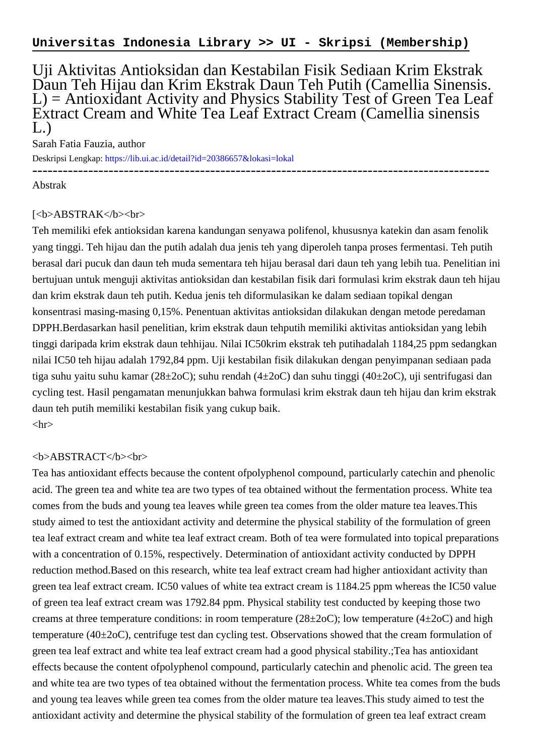Uji Aktivitas Antioksidan dan Kestabilan Fisik Sediaan Krim Ekstrak Daun Teh Hijau dan Krim Ekstrak Daun Teh Putih (Camellia Sinensis. L) = Antioxidant Activity and Physics Stability Test of Green Tea Leaf Extract Cream and White Tea Leaf Extract Cream (Camellia sinensis  $L.$ )

Sarah Fatia Fauzia, author

Deskripsi Lengkap:<https://lib.ui.ac.id/detail?id=20386657&lokasi=lokal> ------------------------------------------------------------------------------------------

Abstrak

## [<b>ABSTRAK</b><br>

Teh memiliki efek antioksidan karena kandungan senyawa polifenol, khususnya katekin dan asam fenolik yang tinggi. Teh hijau dan the putih adalah dua jenis teh yang diperoleh tanpa proses fermentasi. Teh putih berasal dari pucuk dan daun teh muda sementara teh hijau berasal dari daun teh yang lebih tua. Penelitian ini bertujuan untuk menguji aktivitas antioksidan dan kestabilan fisik dari formulasi krim ekstrak daun teh hijau dan krim ekstrak daun teh putih. Kedua jenis teh diformulasikan ke dalam sediaan topikal dengan konsentrasi masing-masing 0,15%. Penentuan aktivitas antioksidan dilakukan dengan metode peredaman DPPH.Berdasarkan hasil penelitian, krim ekstrak daun tehputih memiliki aktivitas antioksidan yang lebih tinggi daripada krim ekstrak daun tehhijau. Nilai IC50krim ekstrak teh putihadalah 1184,25 ppm sedangkan nilai IC50 teh hijau adalah 1792,84 ppm. Uji kestabilan fisik dilakukan dengan penyimpanan sediaan pada tiga suhu yaitu suhu kamar (28±2oC); suhu rendah (4±2oC) dan suhu tinggi (40±2oC), uji sentrifugasi dan cycling test. Hasil pengamatan menunjukkan bahwa formulasi krim ekstrak daun teh hijau dan krim ekstrak daun teh putih memiliki kestabilan fisik yang cukup baik.  $\langle$ hr $>$ 

## <b>ABSTRACT</b><br>

Tea has antioxidant effects because the content ofpolyphenol compound, particularly catechin and phenolic acid. The green tea and white tea are two types of tea obtained without the fermentation process. White tea comes from the buds and young tea leaves while green tea comes from the older mature tea leaves.This study aimed to test the antioxidant activity and determine the physical stability of the formulation of green tea leaf extract cream and white tea leaf extract cream. Both of tea were formulated into topical preparations with a concentration of 0.15%, respectively. Determination of antioxidant activity conducted by DPPH reduction method.Based on this research, white tea leaf extract cream had higher antioxidant activity than green tea leaf extract cream. IC50 values of white tea extract cream is 1184.25 ppm whereas the IC50 value of green tea leaf extract cream was 1792.84 ppm. Physical stability test conducted by keeping those two creams at three temperature conditions: in room temperature ( $28\pm2oC$ ); low temperature ( $4\pm2oC$ ) and high temperature (40±2oC), centrifuge test dan cycling test. Observations showed that the cream formulation of green tea leaf extract and white tea leaf extract cream had a good physical stability.;Tea has antioxidant effects because the content ofpolyphenol compound, particularly catechin and phenolic acid. The green tea and white tea are two types of tea obtained without the fermentation process. White tea comes from the buds and young tea leaves while green tea comes from the older mature tea leaves.This study aimed to test the antioxidant activity and determine the physical stability of the formulation of green tea leaf extract cream